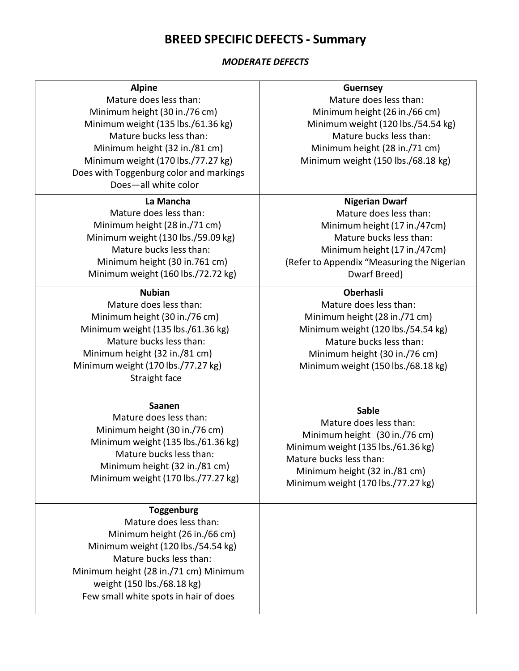# **BREED SPECIFIC DEFECTS - Summary**

#### *MODERATE DEFECTS*

**Alpine** Mature does less than: Minimum height (30 in./76 cm) Minimum weight (135 lbs./61.36 kg) Mature bucks less than: Minimum height (32 in./81 cm) Minimum weight (170 lbs./77.27 kg) Does with Toggenburg color and markings Does—all white color

#### **La Mancha**

Mature does less than: Minimum height (28 in./71 cm) Minimum weight (130 lbs./59.09 kg) Mature bucks less than: Minimum height (30 in.761 cm) Minimum weight (160 lbs./72.72 kg)

#### **Nubian**

Mature does less than: Minimum height (30 in./76 cm) Minimum weight (135 lbs./61.36 kg) Mature bucks less than: Minimum height (32 in./81 cm) Minimum weight (170 lbs./77.27 kg) Straight face

#### **Saanen**

Mature does less than: Minimum height (30 in./76 cm) Minimum weight (135 lbs./61.36 kg) Mature bucks less than: Minimum height (32 in./81 cm) Minimum weight (170 lbs./77.27 kg)

### **Toggenburg**

Mature does less than: Minimum height (26 in./66 cm) Minimum weight (120 lbs./54.54 kg) Mature bucks less than: Minimum height (28 in./71 cm) Minimum weight (150 lbs./68.18 kg) Few small white spots in hair of does

#### **Guernsey**

Mature does less than: Minimum height (26 in./66 cm) Minimum weight (120 lbs./54.54 kg) Mature bucks less than: Minimum height (28 in./71 cm) Minimum weight (150 lbs./68.18 kg)

#### **Nigerian Dwarf**

Mature does less than: Minimum height (17 in./47cm) Mature bucks less than: Minimum height (17 in./47cm) (Refer to Appendix "Measuring the Nigerian Dwarf Breed)

#### **Oberhasli**

Mature does less than: Minimum height (28 in./71 cm) Minimum weight (120 lbs./54.54 kg) Mature bucks less than: Minimum height (30 in./76 cm) Minimum weight (150 lbs./68.18 kg)

#### **Sable**

Mature does less than: Minimum height (30 in./76 cm) Minimum weight (135 lbs./61.36 kg) Mature bucks less than: Minimum height (32 in./81 cm) Minimum weight (170 lbs./77.27 kg)